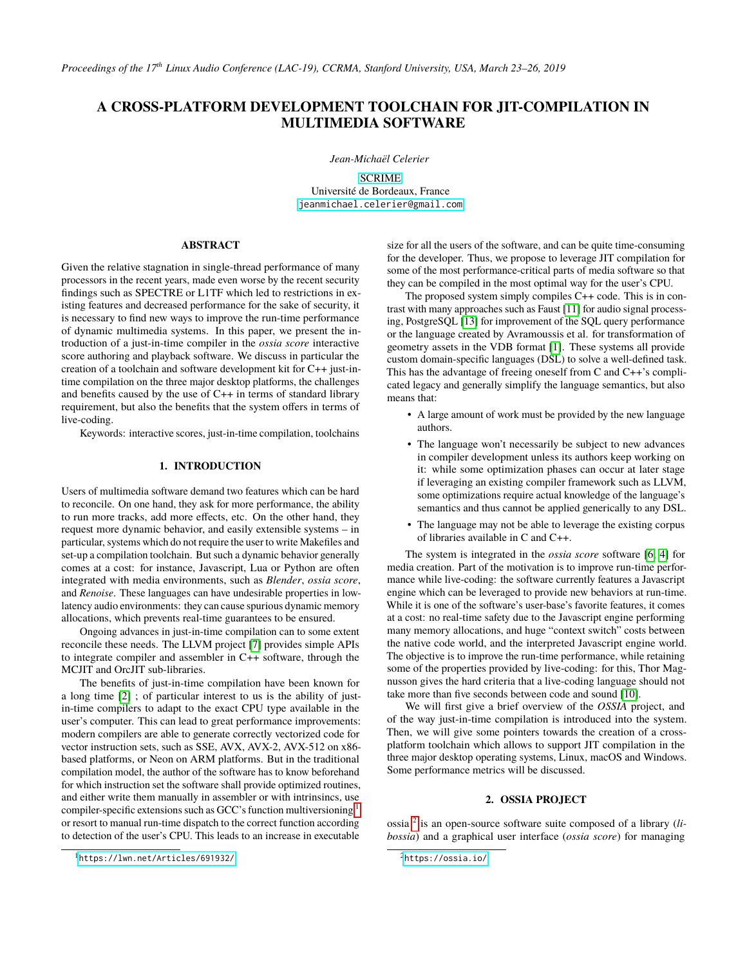# **A CROSS-PLATFORM DEVELOPMENT TOOLCHAIN FOR JIT-COMPILATION IN MULTIMEDIA SOFTWARE**

*Jean-Michaël Celerier*

[SCRIME](https://scrime.labri.fr) Université de Bordeaux, France [jeanmichael.celerier@gmail.com](mailto:jeanmichael.celerier@gmail.com)

### **ABSTRACT**

Given the relative stagnation in single-thread performance of many processors in the recent years, made even worse by the recent security findings such as SPECTRE or L1TF which led to restrictions in existing features and decreased performance for the sake of security, it is necessary to find new ways to improve the run-time performance of dynamic multimedia systems. In this paper, we present the introduction of a just-in-time compiler in the *ossia score* interactive score authoring and playback software. We discuss in particular the creation of a toolchain and software development kit for C++ just-intime compilation on the three major desktop platforms, the challenges and benefits caused by the use of C++ in terms of standard library requirement, but also the benefits that the system offers in terms of live-coding.

Keywords: interactive scores, just-in-time compilation, toolchains

#### **1. INTRODUCTION**

Users of multimedia software demand two features which can be hard to reconcile. On one hand, they ask for more performance, the ability to run more tracks, add more effects, etc. On the other hand, they request more dynamic behavior, and easily extensible systems – in particular, systems which do not require the user to write Makefiles and set-up a compilation toolchain. But such a dynamic behavior generally comes at a cost: for instance, Javascript, Lua or Python are often integrated with media environments, such as *Blender*, *ossia score*, and *Renoise*. These languages can have undesirable properties in lowlatency audio environments: they can cause spurious dynamic memory allocations, which prevents real-time guarantees to be ensured.

Ongoing advances in just-in-time compilation can to some extent reconcile these needs. The LLVM project [\[7\]](#page-5-0) provides simple APIs to integrate compiler and assembler in C++ software, through the MCJIT and OrcJIT sub-libraries.

The benefits of just-in-time compilation have been known for a long time [\[2\]](#page-5-1) ; of particular interest to us is the ability of justin-time compilers to adapt to the exact CPU type available in the user's computer. This can lead to great performance improvements: modern compilers are able to generate correctly vectorized code for vector instruction sets, such as SSE, AVX, AVX-2, AVX-512 on x86 based platforms, or Neon on ARM platforms. But in the traditional compilation model, the author of the software has to know beforehand for which instruction set the software shall provide optimized routines, and either write them manually in assembler or with intrinsincs, use compiler-specific extensions such as GCC's function multiversioning [1](#page-0-0) or resort to manual run-time dispatch to the correct function according to detection of the user's CPU. This leads to an increase in executable

size for all the users of the software, and can be quite time-consuming for the developer. Thus, we propose to leverage JIT compilation for some of the most performance-critical parts of media software so that they can be compiled in the most optimal way for the user's CPU.

The proposed system simply compiles C++ code. This is in contrast with many approaches such as Faust [\[11\]](#page-5-2) for audio signal processing, PostgreSQL [\[13\]](#page-5-3) for improvement of the SQL query performance or the language created by Avramoussis et al. for transformation of geometry assets in the VDB format [\[1\]](#page-5-4). These systems all provide custom domain-specific languages (DSL) to solve a well-defined task. This has the advantage of freeing oneself from C and C++'s complicated legacy and generally simplify the language semantics, but also means that:

- A large amount of work must be provided by the new language authors.
- The language won't necessarily be subject to new advances in compiler development unless its authors keep working on it: while some optimization phases can occur at later stage if leveraging an existing compiler framework such as LLVM, some optimizations require actual knowledge of the language's semantics and thus cannot be applied generically to any DSL.
- The language may not be able to leverage the existing corpus of libraries available in C and C++.

The system is integrated in the *ossia score* software [\[6,](#page-5-5) [4\]](#page-5-6) for media creation. Part of the motivation is to improve run-time performance while live-coding: the software currently features a Javascript engine which can be leveraged to provide new behaviors at run-time. While it is one of the software's user-base's favorite features, it comes at a cost: no real-time safety due to the Javascript engine performing many memory allocations, and huge "context switch" costs between the native code world, and the interpreted Javascript engine world. The objective is to improve the run-time performance, while retaining some of the properties provided by live-coding: for this, Thor Magnusson gives the hard criteria that a live-coding language should not take more than five seconds between code and sound [\[10\]](#page-5-7).

We will first give a brief overview of the *OSSIA* project, and of the way just-in-time compilation is introduced into the system. Then, we will give some pointers towards the creation of a crossplatform toolchain which allows to support JIT compilation in the three major desktop operating systems, Linux, macOS and Windows. Some performance metrics will be discussed.

### **2. OSSIA PROJECT**

ossia [2](#page-0-1) is an open-source software suite composed of a library (*libossia*) and a graphical user interface (*ossia score*) for managing

<span id="page-0-0"></span><sup>1</sup><https://lwn.net/Articles/691932/>

<span id="page-0-1"></span><sup>2</sup><https://ossia.io/>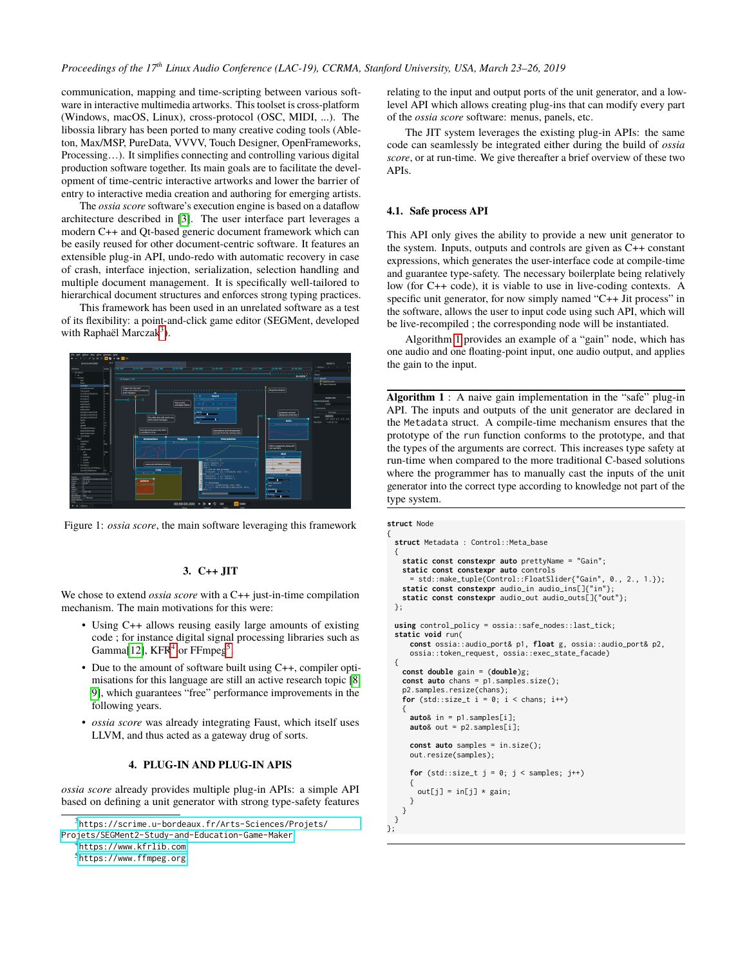communication, mapping and time-scripting between various software in interactive multimedia artworks. This toolset is cross-platform (Windows, macOS, Linux), cross-protocol (OSC, MIDI, ...). The libossia library has been ported to many creative coding tools (Ableton, Max/MSP, PureData, VVVV, Touch Designer, OpenFrameworks, Processing…). It simplifies connecting and controlling various digital production software together. Its main goals are to facilitate the development of time-centric interactive artworks and lower the barrier of entry to interactive media creation and authoring for emerging artists.

The *ossia score* software's execution engine is based on a dataflow architecture described in [\[3\]](#page-5-8). The user interface part leverages a modern C++ and Qt-based generic document framework which can be easily reused for other document-centric software. It features an extensible plug-in API, undo-redo with automatic recovery in case of crash, interface injection, serialization, selection handling and multiple document management. It is specifically well-tailored to hierarchical document structures and enforces strong typing practices.

This framework has been used in an unrelated software as a test of its flexibility: a point-and-click game editor (SEGMent, developed with Raphaël Marczak<sup>[3](#page-1-0)</sup>).





## **3. C++ JIT**

We chose to extend *ossia score* with a C++ just-in-time compilation mechanism. The main motivations for this were:

- Using C++ allows reusing easily large amounts of existing code ; for instance digital signal processing libraries such as Gamma[\[12\]](#page-5-9),  $KFR<sup>4</sup>$  $KFR<sup>4</sup>$  $KFR<sup>4</sup>$  or  $FFmpeg<sup>5</sup>$  $FFmpeg<sup>5</sup>$  $FFmpeg<sup>5</sup>$ .
- Due to the amount of software built using C++, compiler optimisations for this language are still an active research topic [\[8,](#page-5-10) [9\]](#page-5-11), which guarantees "free" performance improvements in the following years.
- *ossia score* was already integrating Faust, which itself uses LLVM, and thus acted as a gateway drug of sorts.

#### **4. PLUG-IN AND PLUG-IN APIS**

*ossia score* already provides multiple plug-in APIs: a simple API based on defining a unit generator with strong type-safety features

<span id="page-1-0"></span><sup>3</sup>[https://scrime.u-bordeaux.fr/Arts-Sciences/Projets/](https://scrime.u-bordeaux.fr/Arts-Sciences/Projets/Projets/SEGMent2-Study-and-Education-Game-Maker) [Projets/SEGMent2-Study-and-Education-Game-Maker](https://scrime.u-bordeaux.fr/Arts-Sciences/Projets/Projets/SEGMent2-Study-and-Education-Game-Maker)

<span id="page-1-1"></span><sup>4</sup><https://www.kfrlib.com>

<span id="page-1-2"></span><sup>5</sup><https://www.ffmpeg.org>

relating to the input and output ports of the unit generator, and a lowlevel API which allows creating plug-ins that can modify every part of the *ossia score* software: menus, panels, etc.

The JIT system leverages the existing plug-in APIs: the same code can seamlessly be integrated either during the build of *ossia score*, or at run-time. We give thereafter a brief overview of these two APIs.

#### **4.1. Safe process API**

{

This API only gives the ability to provide a new unit generator to the system. Inputs, outputs and controls are given as C++ constant expressions, which generates the user-interface code at compile-time and guarantee type-safety. The necessary boilerplate being relatively low (for C++ code), it is viable to use in live-coding contexts. A specific unit generator, for now simply named "C++ Jit process" in the software, allows the user to input code using such API, which will be live-recompiled ; the corresponding node will be instantiated.

Algorithm [1](#page-1-3) provides an example of a "gain" node, which has one audio and one floating-point input, one audio output, and applies the gain to the input.

<span id="page-1-3"></span>**Algorithm 1** : A naive gain implementation in the "safe" plug-in API. The inputs and outputs of the unit generator are declared in the Metadata struct. A compile-time mechanism ensures that the prototype of the run function conforms to the prototype, and that the types of the arguments are correct. This increases type safety at run-time when compared to the more traditional C-based solutions where the programmer has to manually cast the inputs of the unit generator into the correct type according to knowledge not part of the type system.

```
struct Node
  struct Metadata : Control::Meta_base
  {
    static const constexpr auto prettyName = "Gain";
   static const constexpr auto controls
      = std::make_tuple(Control::FloatSlider{"Gain", 0., 2., 1.});
    static const constexpr audio_in audio_ins[]{"in"};
   static const constexpr audio_out audio_outs[]{"out"};
 };
 using control_policy = ossia::safe_nodes::last_tick;
  static void run(
     const ossia::audio_port& p1, float g, ossia::audio_port& p2,
     ossia::token_request, ossia::exec_state_facade)
  {
    const double gain = (double)g;
const auto chans = p1.samples.size();
    p2.samples.resize(chans);
    for (std::size_t i = 0; i < chans; i++)
    {
     auto& in = p1.samples[i];
     auto& out = p2.samples[i];
     const auto samples = in.size();
     out.resize(samples);
     for (std::size_t j = 0; j < samples; j++){
       out[j] = in[j] * gain;}
   }
 }
};
```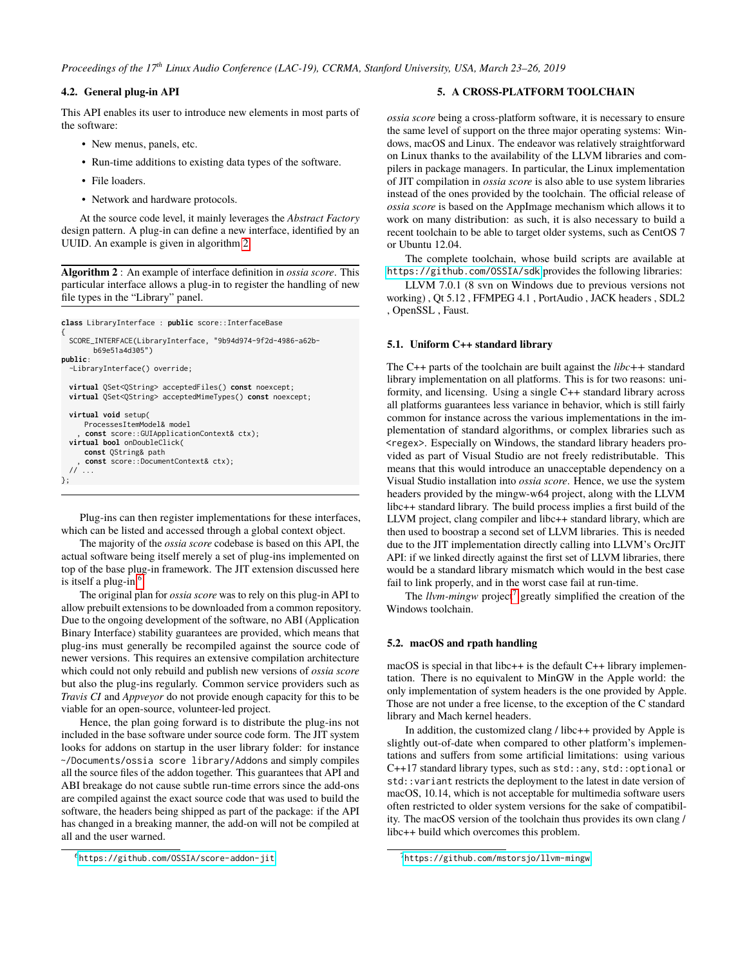#### **4.2. General plug-in API**

This API enables its user to introduce new elements in most parts of the software:

- New menus, panels, etc.
- Run-time additions to existing data types of the software.
- File loaders.
- Network and hardware protocols.

At the source code level, it mainly leverages the *Abstract Factory* design pattern. A plug-in can define a new interface, identified by an UUID. An example is given in algorithm [2:](#page-2-0)

<span id="page-2-0"></span>**Algorithm 2** : An example of interface definition in *ossia score*. This particular interface allows a plug-in to register the handling of new file types in the "Library" panel.

```
class LibraryInterface : public score::InterfaceBase
{
 SCORE_INTERFACE(LibraryInterface, "9b94d974-9f2d-4986-a62b-
       b69e51a4d305")
public:
  ~LibraryInterface() override;
 virtual QSet<QString> acceptedFiles() const noexcept;
 virtual QSet<QString> acceptedMimeTypes() const noexcept;
 virtual void setup(
     ProcessesItemModel& model
     , const score::GUIApplicationContext& ctx);
  virtual bool onDoubleClick(
     const QString& path
     , const score::DocumentContext& ctx);
 // ...
};
```
Plug-ins can then register implementations for these interfaces, which can be listed and accessed through a global context object.

The majority of the *ossia score* codebase is based on this API, the actual software being itself merely a set of plug-ins implemented on top of the base plug-in framework. The JIT extension discussed here is itself a plug-in  $<sup>6</sup>$  $<sup>6</sup>$  $<sup>6</sup>$ .</sup>

The original plan for *ossia score* was to rely on this plug-in API to allow prebuilt extensions to be downloaded from a common repository. Due to the ongoing development of the software, no ABI (Application Binary Interface) stability guarantees are provided, which means that plug-ins must generally be recompiled against the source code of newer versions. This requires an extensive compilation architecture which could not only rebuild and publish new versions of *ossia score* but also the plug-ins regularly. Common service providers such as *Travis CI* and *Appveyor* do not provide enough capacity for this to be viable for an open-source, volunteer-led project.

Hence, the plan going forward is to distribute the plug-ins not included in the base software under source code form. The JIT system looks for addons on startup in the user library folder: for instance ~/Documents/ossia score library/Addons and simply compiles all the source files of the addon together. This guarantees that API and ABI breakage do not cause subtle run-time errors since the add-ons are compiled against the exact source code that was used to build the software, the headers being shipped as part of the package: if the API has changed in a breaking manner, the add-on will not be compiled at all and the user warned.

#### **5. A CROSS-PLATFORM TOOLCHAIN**

*ossia score* being a cross-platform software, it is necessary to ensure the same level of support on the three major operating systems: Windows, macOS and Linux. The endeavor was relatively straightforward on Linux thanks to the availability of the LLVM libraries and compilers in package managers. In particular, the Linux implementation of JIT compilation in *ossia score* is also able to use system libraries instead of the ones provided by the toolchain. The official release of *ossia score* is based on the AppImage mechanism which allows it to work on many distribution: as such, it is also necessary to build a recent toolchain to be able to target older systems, such as CentOS 7 or Ubuntu 12.04.

The complete toolchain, whose build scripts are available at <https://github.com/OSSIA/sdk> provides the following libraries:

LLVM 7.0.1 (8 svn on Windows due to previous versions not working) , Qt 5.12 , FFMPEG 4.1 , PortAudio , JACK headers , SDL2 , OpenSSL , Faust.

#### **5.1. Uniform C++ standard library**

The C++ parts of the toolchain are built against the *libc++* standard library implementation on all platforms. This is for two reasons: uniformity, and licensing. Using a single C++ standard library across all platforms guarantees less variance in behavior, which is still fairly common for instance across the various implementations in the implementation of standard algorithms, or complex libraries such as <regex>. Especially on Windows, the standard library headers provided as part of Visual Studio are not freely redistributable. This means that this would introduce an unacceptable dependency on a Visual Studio installation into *ossia score*. Hence, we use the system headers provided by the mingw-w64 project, along with the LLVM libc++ standard library. The build process implies a first build of the LLVM project, clang compiler and libc++ standard library, which are then used to boostrap a second set of LLVM libraries. This is needed due to the JIT implementation directly calling into LLVM's OrcJIT API: if we linked directly against the first set of LLVM libraries, there would be a standard library mismatch which would in the best case fail to link properly, and in the worst case fail at run-time.

The *llvm-mingw* project<sup>[7](#page-2-2)</sup> greatly simplified the creation of the Windows toolchain.

#### **5.2. macOS and rpath handling**

macOS is special in that libc++ is the default C++ library implementation. There is no equivalent to MinGW in the Apple world: the only implementation of system headers is the one provided by Apple. Those are not under a free license, to the exception of the C standard library and Mach kernel headers.

In addition, the customized clang / libc++ provided by Apple is slightly out-of-date when compared to other platform's implementations and suffers from some artificial limitations: using various  $C++17$  standard library types, such as  $std::any$ ,  $std::optional$  or std::variant restricts the deployment to the latest in date version of macOS, 10.14, which is not acceptable for multimedia software users often restricted to older system versions for the sake of compatibility. The macOS version of the toolchain thus provides its own clang / libc++ build which overcomes this problem.

<span id="page-2-1"></span><sup>6</sup><https://github.com/OSSIA/score-addon-jit>

<span id="page-2-2"></span><sup>7</sup><https://github.com/mstorsjo/llvm-mingw>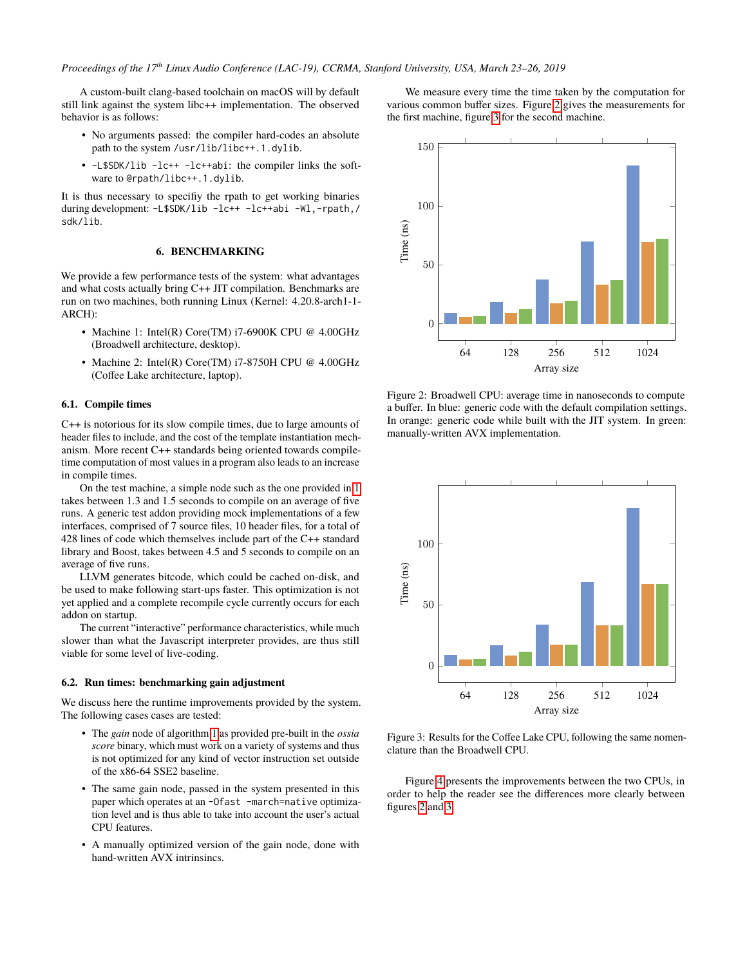A custom-built clang-based toolchain on macOS will by default still link against the system libc++ implementation. The observed behavior is as follows:

- No arguments passed: the compiler hard-codes an absolute path to the system /usr/lib/libc++.1.dylib.
- -L\$SDK/lib -lc++ -lc++abi: the compiler links the software to @rpath/libc++.1.dylib.

It is thus necessary to specifiy the rpath to get working binaries during development: -L\$SDK/lib -lc++ -lc++abi -Wl,-rpath,/ sdk/lib.

#### **6. BENCHMARKING**

We provide a few performance tests of the system: what advantages and what costs actually bring C++ JIT compilation. Benchmarks are run on two machines, both running Linux (Kernel: 4.20.8-arch1-1- ARCH):

- Machine 1: Intel(R) Core(TM) i7-6900K CPU @ 4.00GHz (Broadwell architecture, desktop).
- Machine 2: Intel(R) Core(TM) i7-8750H CPU @ 4.00GHz (Coffee Lake architecture, laptop).

#### **6.1. Compile times**

C++ is notorious for its slow compile times, due to large amounts of header files to include, and the cost of the template instantiation mechanism. More recent C++ standards being oriented towards compiletime computation of most values in a program also leads to an increase in compile times.

On the test machine, a simple node such as the one providedin [1](#page-1-3) takes between 1.3 and 1.5 seconds to compile on an average of five runs. A generic test addon providing mock implementations of a few interfaces, comprised of 7 source files, 10 header files, for a total of 428 lines of code which themselves include part of the C++ standard library and Boost, takes between 4.5 and 5 seconds to compile on an average of five runs.

LLVM generates bitcode, which could be cached on-disk, and be used to make following start-ups faster. This optimization is not yet applied and a complete recompile cycle currently occurs for each addon on startup.

The current "interactive" performance characteristics, while much slower than what the Javascript interpreter provides, are thus still viable for some level of live-coding.

### **6.2. Run times: benchmarking gain adjustment**

We discuss here the runtime improvements provided by the system. The following cases cases are tested:

- The *gain* node of algorithm [1](#page-1-3) as provided pre-built in the *ossia score* binary, which must work on a variety of systems and thus is not optimized for any kind of vector instruction set outside of the x86-64 SSE2 baseline.
- The same gain node, passed in the system presented in this paper which operates at an -Ofast -march=native optimization level and is thus able to take into account the user's actual CPU features.
- A manually optimized version of the gain node, done with hand-written AVX intrinsincs.

We measure every time the time taken by the computation for various common buffer sizes. Figure [2](#page-3-0) gives the measurements for the first machine, figure [3](#page-3-1) for the second machine.

<span id="page-3-0"></span>

Figure 2: Broadwell CPU: average time in nanoseconds to compute a buffer. In blue: generic code with the default compilation settings. In orange: generic code while built with the JIT system. In green: manually-written AVX implementation.

<span id="page-3-1"></span>

Figure 3: Results for the Coffee Lake CPU, following the same nomenclature than the Broadwell CPU.

Figure [4](#page-4-0) presents the improvements between the two CPUs, in order to help the reader see the differences more clearly between figures [2](#page-3-0) and [3.](#page-3-1)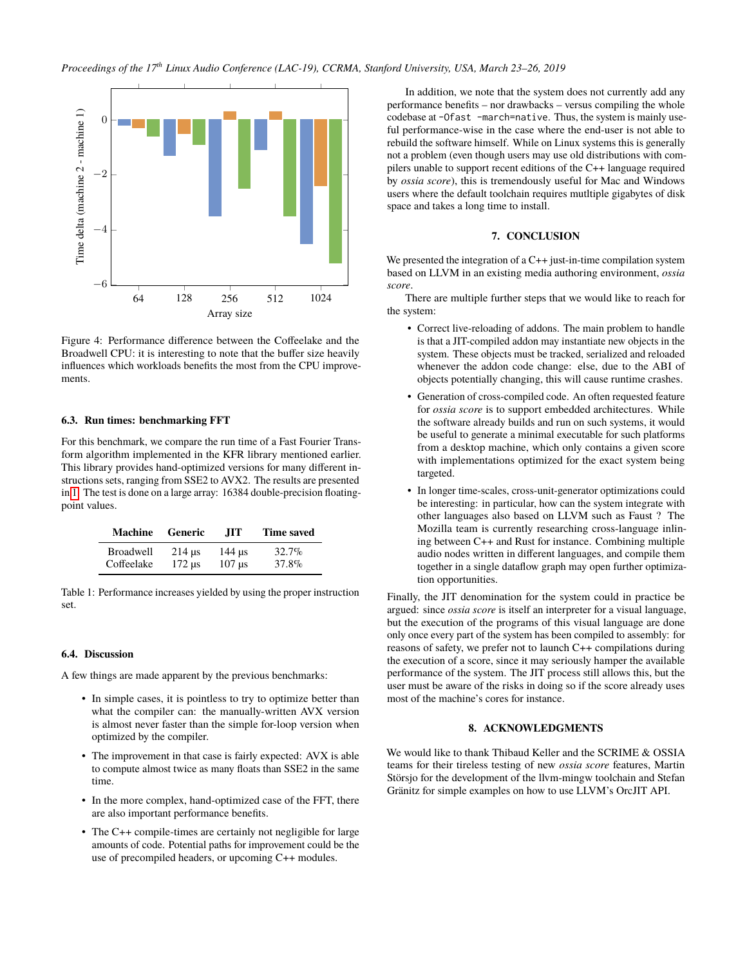*Proceedings of the 17th Linux Audio Conference (LAC-19), CCRMA, Stanford University, USA, March 23–26, 2019*

<span id="page-4-0"></span>

Figure 4: Performance difference between the Coffeelake and the Broadwell CPU: it is interesting to note that the buffer size heavily influences which workloads benefits the most from the CPU improvements.

#### **6.3. Run times: benchmarking FFT**

For this benchmark, we compare the run time of a Fast Fourier Transform algorithm implemented in the KFR library mentioned earlier. This library provides hand-optimized versions for many different instructions sets, ranging from SSE2 to AVX2. The results are presented in [1.](#page-4-1) The test is done on a large array: 16384 double-precision floatingpoint values.

<span id="page-4-1"></span>

| <b>Machine</b>   | Generic                   | .HT                       | <b>Time saved</b> |
|------------------|---------------------------|---------------------------|-------------------|
| <b>Broadwell</b> | $214 \text{ }\mu\text{s}$ | $144 \text{ }\mu\text{s}$ | $32.7\%$          |
| Coffeelake       | $172 \text{ }\mu\text{s}$ | $107$ us                  | 37.8%             |

Table 1: Performance increases yielded by using the proper instruction set.

#### **6.4. Discussion**

A few things are made apparent by the previous benchmarks:

- In simple cases, it is pointless to try to optimize better than what the compiler can: the manually-written AVX version is almost never faster than the simple for-loop version when optimized by the compiler.
- The improvement in that case is fairly expected: AVX is able to compute almost twice as many floats than SSE2 in the same time.
- In the more complex, hand-optimized case of the FFT, there are also important performance benefits.
- The C++ compile-times are certainly not negligible for large amounts of code. Potential paths for improvement could be the use of precompiled headers, or upcoming C++ modules.

In addition, we note that the system does not currently add any performance benefits – nor drawbacks – versus compiling the whole codebase at -Ofast -march=native. Thus, the system is mainly useful performance-wise in the case where the end-user is not able to rebuild the software himself. While on Linux systems this is generally not a problem (even though users may use old distributions with compilers unable to support recent editions of the C++ language required by *ossia score*), this is tremendously useful for Mac and Windows users where the default toolchain requires mutltiple gigabytes of disk space and takes a long time to install.

#### **7. CONCLUSION**

We presented the integration of a C++ just-in-time compilation system based on LLVM in an existing media authoring environment, *ossia score*.

There are multiple further steps that we would like to reach for the system:

- Correct live-reloading of addons. The main problem to handle is that a JIT-compiled addon may instantiate new objects in the system. These objects must be tracked, serialized and reloaded whenever the addon code change: else, due to the ABI of objects potentially changing, this will cause runtime crashes.
- Generation of cross-compiled code. An often requested feature for *ossia score* is to support embedded architectures. While the software already builds and run on such systems, it would be useful to generate a minimal executable for such platforms from a desktop machine, which only contains a given score with implementations optimized for the exact system being targeted.
- In longer time-scales, cross-unit-generator optimizations could be interesting: in particular, how can the system integrate with other languages also based on LLVM such as Faust ? The Mozilla team is currently researching cross-language inlining between C++ and Rust for instance. Combining multiple audio nodes written in different languages, and compile them together in a single dataflow graph may open further optimization opportunities.

Finally, the JIT denomination for the system could in practice be argued: since *ossia score* is itself an interpreter for a visual language, but the execution of the programs of this visual language are done only once every part of the system has been compiled to assembly: for reasons of safety, we prefer not to launch C++ compilations during the execution of a score, since it may seriously hamper the available performance of the system. The JIT process still allows this, but the user must be aware of the risks in doing so if the score already uses most of the machine's cores for instance.

#### **8. ACKNOWLEDGMENTS**

We would like to thank Thibaud Keller and the SCRIME & OSSIA teams for their tireless testing of new *ossia score* features, Martin Störsjo for the development of the llvm-mingw toolchain and Stefan Gränitz for simple examples on how to use LLVM's OrcJIT API.